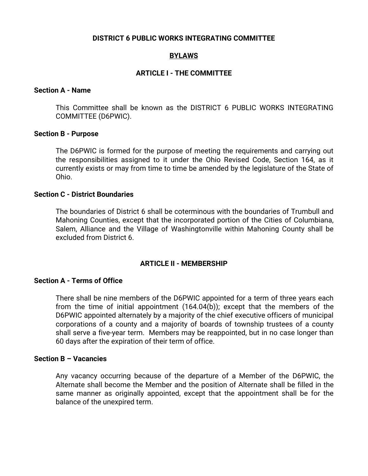#### **DISTRICT 6 PUBLIC WORKS INTEGRATING COMMITTEE**

# **BYLAWS**

## **ARTICLE I - THE COMMITTEE**

### **Section A - Name**

This Committee shall be known as the DISTRICT 6 PUBLIC WORKS INTEGRATING COMMITTEE (D6PWIC).

#### **Section B - Purpose**

The D6PWIC is formed for the purpose of meeting the requirements and carrying out the responsibilities assigned to it under the Ohio Revised Code, Section 164, as it currently exists or may from time to time be amended by the legislature of the State of Ohio.

#### **Section C - District Boundaries**

The boundaries of District 6 shall be coterminous with the boundaries of Trumbull and Mahoning Counties, except that the incorporated portion of the Cities of Columbiana, Salem, Alliance and the Village of Washingtonville within Mahoning County shall be excluded from District 6.

#### **ARTICLE II - MEMBERSHIP**

### **Section A - Terms of Office**

There shall be nine members of the D6PWIC appointed for a term of three years each from the time of initial appointment (164.04(b)); except that the members of the D6PWIC appointed alternately by a majority of the chief executive officers of municipal corporations of a county and a majority of boards of township trustees of a county shall serve a five-year term. Members may be reappointed, but in no case longer than 60 days after the expiration of their term of office.

## **Section B – Vacancies**

Any vacancy occurring because of the departure of a Member of the D6PWIC, the Alternate shall become the Member and the position of Alternate shall be filled in the same manner as originally appointed, except that the appointment shall be for the balance of the unexpired term.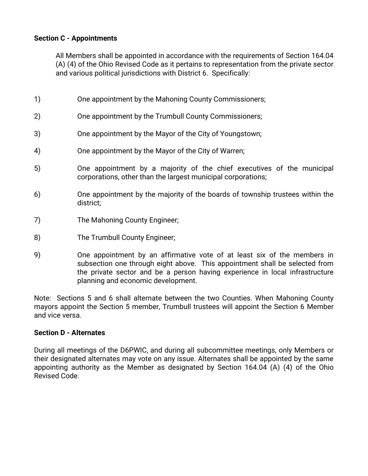# **Section C - Appointments**

All Members shall be appointed in accordance with the requirements of Section 164.04 (A) (4) of the Ohio Revised Code as it pertains to representation from the private sector and various political jurisdictions with District 6. Specifically:

- 1) One appointment by the Mahoning County Commissioners;
- 2) One appointment by the Trumbull County Commissioners;
- 3) One appointment by the Mayor of the City of Youngstown;
- 4) One appointment by the Mayor of the City of Warren;
- 5) One appointment by a majority of the chief executives of the municipal corporations, other than the largest municipal corporations;
- 6) One appointment by the majority of the boards of township trustees within the district;
- 7) The Mahoning County Engineer;
- 8) The Trumbull County Engineer;
- 9) One appointment by an affirmative vote of at least six of the members in subsection one through eight above. This appointment shall be selected from the private sector and be a person having experience in local infrastructure planning and economic development.

Note: Sections 5 and 6 shall alternate between the two Counties. When Mahoning County mayors appoint the Section 5 member, Trumbull trustees will appoint the Section 6 Member and vice versa.

## **Section D - Alternates**

During all meetings of the D6PWIC, and during all subcommittee meetings, only Members or their designated alternates may vote on any issue. Alternates shall be appointed by the same appointing authority as the Member as designated by Section 164.04 (A) (4) of the Ohio Revised Code.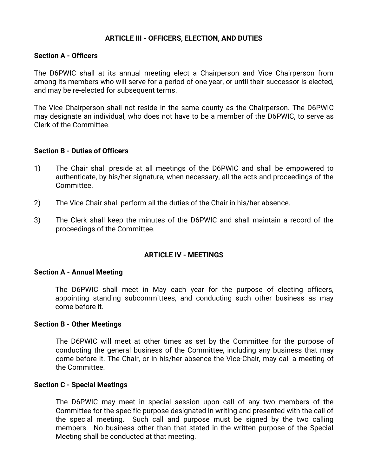# **ARTICLE III - OFFICERS, ELECTION, AND DUTIES**

## **Section A - Officers**

The D6PWIC shall at its annual meeting elect a Chairperson and Vice Chairperson from among its members who will serve for a period of one year, or until their successor is elected, and may be re-elected for subsequent terms.

The Vice Chairperson shall not reside in the same county as the Chairperson. The D6PWIC may designate an individual, who does not have to be a member of the D6PWIC, to serve as Clerk of the Committee.

### **Section B - Duties of Officers**

- 1) The Chair shall preside at all meetings of the D6PWIC and shall be empowered to authenticate, by his/her signature, when necessary, all the acts and proceedings of the Committee.
- 2) The Vice Chair shall perform all the duties of the Chair in his/her absence.
- 3) The Clerk shall keep the minutes of the D6PWIC and shall maintain a record of the proceedings of the Committee.

## **ARTICLE IV - MEETINGS**

#### **Section A - Annual Meeting**

The D6PWIC shall meet in May each year for the purpose of electing officers, appointing standing subcommittees, and conducting such other business as may come before it.

#### **Section B - Other Meetings**

The D6PWIC will meet at other times as set by the Committee for the purpose of conducting the general business of the Committee, including any business that may come before it. The Chair, or in his/her absence the Vice-Chair, may call a meeting of the Committee.

#### **Section C - Special Meetings**

The D6PWIC may meet in special session upon call of any two members of the Committee for the specific purpose designated in writing and presented with the call of the special meeting. Such call and purpose must be signed by the two calling members. No business other than that stated in the written purpose of the Special Meeting shall be conducted at that meeting.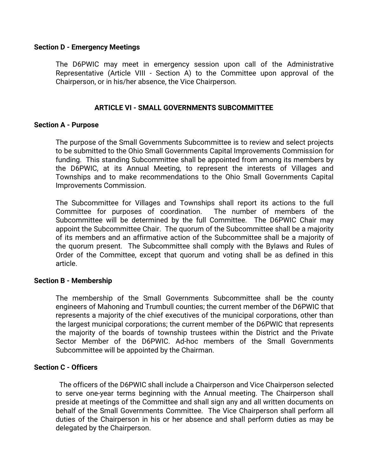### **Section D - Emergency Meetings**

The D6PWIC may meet in emergency session upon call of the Administrative Representative (Article VIII - Section A) to the Committee upon approval of the Chairperson, or in his/her absence, the Vice Chairperson.

## **ARTICLE VI - SMALL GOVERNMENTS SUBCOMMITTEE**

### **Section A - Purpose**

The purpose of the Small Governments Subcommittee is to review and select projects to be submitted to the Ohio Small Governments Capital Improvements Commission for funding. This standing Subcommittee shall be appointed from among its members by the D6PWIC, at its Annual Meeting, to represent the interests of Villages and Townships and to make recommendations to the Ohio Small Governments Capital Improvements Commission.

The Subcommittee for Villages and Townships shall report its actions to the full Committee for purposes of coordination. The number of members of the Subcommittee will be determined by the full Committee. The D6PWIC Chair may appoint the Subcommittee Chair. The quorum of the Subcommittee shall be a majority of its members and an affirmative action of the Subcommittee shall be a majority of the quorum present. The Subcommittee shall comply with the Bylaws and Rules of Order of the Committee, except that quorum and voting shall be as defined in this article.

#### **Section B - Membership**

The membership of the Small Governments Subcommittee shall be the county engineers of Mahoning and Trumbull counties; the current member of the D6PWIC that represents a majority of the chief executives of the municipal corporations, other than the largest municipal corporations; the current member of the D6PWIC that represents the majority of the boards of township trustees within the District and the Private Sector Member of the D6PWIC. Ad-hoc members of the Small Governments Subcommittee will be appointed by the Chairman.

## **Section C - Officers**

 The officers of the D6PWIC shall include a Chairperson and Vice Chairperson selected to serve one-year terms beginning with the Annual meeting. The Chairperson shall preside at meetings of the Committee and shall sign any and all written documents on behalf of the Small Governments Committee. The Vice Chairperson shall perform all duties of the Chairperson in his or her absence and shall perform duties as may be delegated by the Chairperson.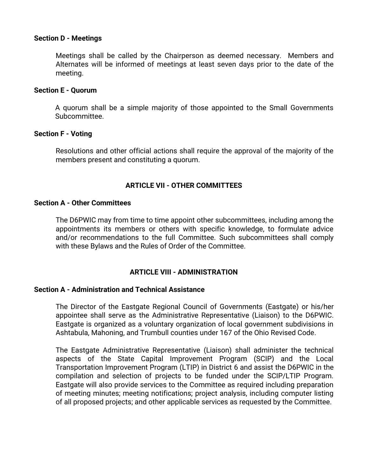### **Section D - Meetings**

Meetings shall be called by the Chairperson as deemed necessary. Members and Alternates will be informed of meetings at least seven days prior to the date of the meeting.

### **Section E - Quorum**

A quorum shall be a simple majority of those appointed to the Small Governments Subcommittee.

### **Section F - Voting**

Resolutions and other official actions shall require the approval of the majority of the members present and constituting a quorum.

# **ARTICLE VII - OTHER COMMITTEES**

### **Section A - Other Committees**

The D6PWIC may from time to time appoint other subcommittees, including among the appointments its members or others with specific knowledge, to formulate advice and/or recommendations to the full Committee. Such subcommittees shall comply with these Bylaws and the Rules of Order of the Committee.

## **ARTICLE VIII - ADMINISTRATION**

#### **Section A - Administration and Technical Assistance**

The Director of the Eastgate Regional Council of Governments (Eastgate) or his/her appointee shall serve as the Administrative Representative (Liaison) to the D6PWIC. Eastgate is organized as a voluntary organization of local government subdivisions in Ashtabula, Mahoning, and Trumbull counties under 167 of the Ohio Revised Code.

The Eastgate Administrative Representative (Liaison) shall administer the technical aspects of the State Capital Improvement Program (SCIP) and the Local Transportation Improvement Program (LTIP) in District 6 and assist the D6PWIC in the compilation and selection of projects to be funded under the SCIP/LTIP Program. Eastgate will also provide services to the Committee as required including preparation of meeting minutes; meeting notifications; project analysis, including computer listing of all proposed projects; and other applicable services as requested by the Committee.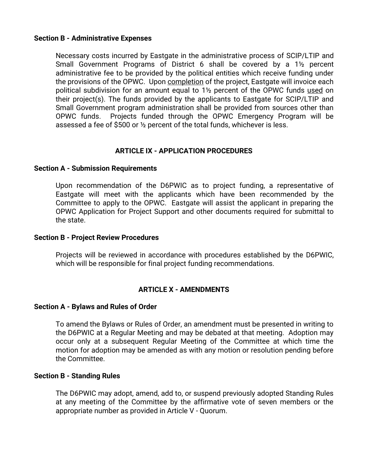## **Section B - Administrative Expenses**

Necessary costs incurred by Eastgate in the administrative process of SCIP/LTIP and Small Government Programs of District 6 shall be covered by a 1½ percent administrative fee to be provided by the political entities which receive funding under the provisions of the OPWC. Upon completion of the project, Eastgate will invoice each political subdivision for an amount equal to 1½ percent of the OPWC funds used on their project(s). The funds provided by the applicants to Eastgate for SCIP/LTIP and Small Government program administration shall be provided from sources other than OPWC funds. Projects funded through the OPWC Emergency Program will be assessed a fee of \$500 or ½ percent of the total funds, whichever is less.

## **ARTICLE IX - APPLICATION PROCEDURES**

### **Section A - Submission Requirements**

Upon recommendation of the D6PWIC as to project funding, a representative of Eastgate will meet with the applicants which have been recommended by the Committee to apply to the OPWC. Eastgate will assist the applicant in preparing the OPWC Application for Project Support and other documents required for submittal to the state.

#### **Section B - Project Review Procedures**

Projects will be reviewed in accordance with procedures established by the D6PWIC, which will be responsible for final project funding recommendations.

## **ARTICLE X - AMENDMENTS**

#### **Section A - Bylaws and Rules of Order**

To amend the Bylaws or Rules of Order, an amendment must be presented in writing to the D6PWIC at a Regular Meeting and may be debated at that meeting. Adoption may occur only at a subsequent Regular Meeting of the Committee at which time the motion for adoption may be amended as with any motion or resolution pending before the Committee.

## **Section B - Standing Rules**

The D6PWIC may adopt, amend, add to, or suspend previously adopted Standing Rules at any meeting of the Committee by the affirmative vote of seven members or the appropriate number as provided in Article V - Quorum.